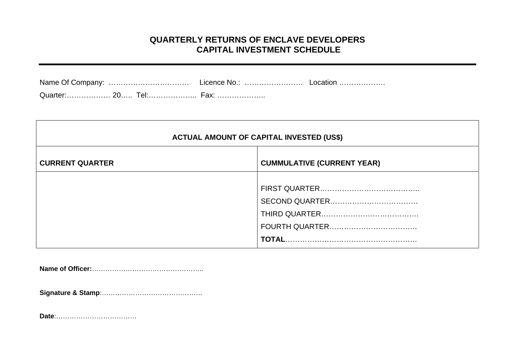## **QUARTERLY RETURNS OF ENCLAVE DEVELOPERS CAPITAL INVESTMENT SCHEDULE**

| <b>ACTUAL AMOUNT OF CAPITAL INVESTED (US\$)</b> |                                   |  |  |  |  |  |  |  |  |
|-------------------------------------------------|-----------------------------------|--|--|--|--|--|--|--|--|
| <b>CURRENT QUARTER</b>                          | <b>CUMMULATIVE (CURRENT YEAR)</b> |  |  |  |  |  |  |  |  |
|                                                 |                                   |  |  |  |  |  |  |  |  |

**Name of Officer:**…………………………………………..

**Signature & Stamp**:………………………………………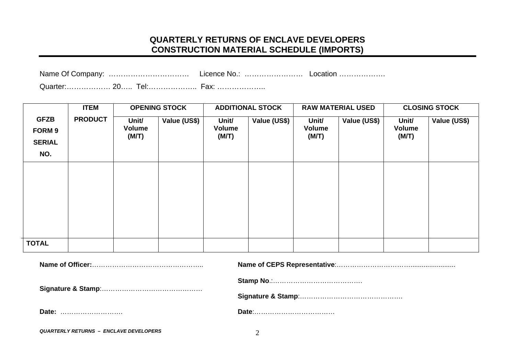# **QUARTERLY RETURNS OF ENCLAVE DEVELOPERS CONSTRUCTION MATERIAL SCHEDULE (IMPORTS)**

| - - |  |
|-----|--|

Quarter:……………… 20….. Tel:……………….. Fax: ………………..

|                                                      | <b>ITEM</b>    | <b>OPENING STOCK</b>     |              |                          | <b>ADDITIONAL STOCK</b> |                          | <b>RAW MATERIAL USED</b> | <b>CLOSING STOCK</b>            |              |
|------------------------------------------------------|----------------|--------------------------|--------------|--------------------------|-------------------------|--------------------------|--------------------------|---------------------------------|--------------|
| <b>GFZB</b><br><b>FORM 9</b><br><b>SERIAL</b><br>NO. | <b>PRODUCT</b> | Unit/<br>Volume<br>(M/T) | Value (US\$) | Unit/<br>Volume<br>(M/T) | Value (US\$)            | Unit/<br>Volume<br>(M/T) | Value (US\$)             | Unit/<br><b>Volume</b><br>(M/T) | Value (US\$) |
|                                                      |                |                          |              |                          |                         |                          |                          |                                 |              |
| <b>TOTAL</b>                                         |                |                          |              |                          |                         |                          |                          |                                 |              |
|                                                      |                |                          |              |                          |                         |                          |                          |                                 |              |

| Date:                                         |  |
|-----------------------------------------------|--|
| <b>QUARTERLY RETURNS - ENCLAVE DEVELOPERS</b> |  |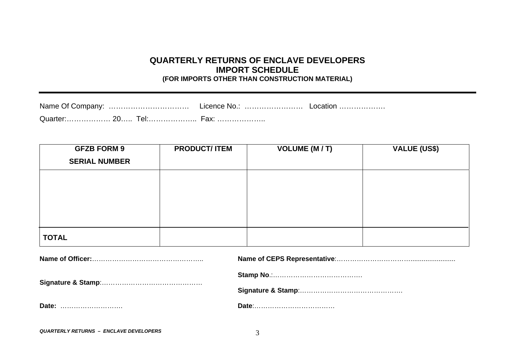#### **QUARTERLY RETURNS OF ENCLAVE DEVELOPERS IMPORT SCHEDULE (FOR IMPORTS OTHER THAN CONSTRUCTION MATERIAL)**

Name Of Company: …………………………… Licence No.: …………………… Location ………………. Quarter:……………… 20….. Tel:……………….. Fax: ………………..

| <b>GFZB FORM 9</b><br><b>SERIAL NUMBER</b> | <b>PRODUCT/ ITEM</b> | <b>VOLUME (M/T)</b> | <b>VALUE (US\$)</b> |
|--------------------------------------------|----------------------|---------------------|---------------------|
|                                            |                      |                     |                     |
|                                            |                      |                     |                     |
|                                            |                      |                     |                     |
| <b>TOTAL</b>                               |                      |                     |                     |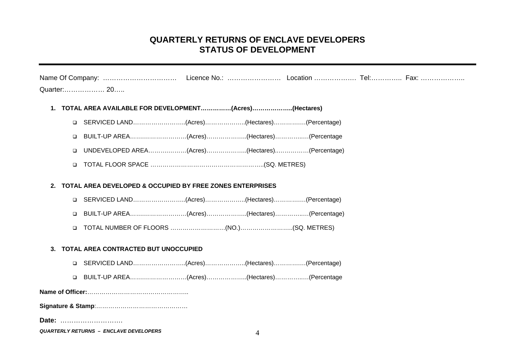## **QUARTERLY RETURNS OF ENCLAVE DEVELOPERS STATUS OF DEVELOPMENT**

|    |        | Quarter: 20                                                          |   |  |  |
|----|--------|----------------------------------------------------------------------|---|--|--|
|    |        | 1. TOTAL AREA AVAILABLE FOR DEVELOPMENT(Acres)(Hectares)             |   |  |  |
|    | □      | (Percentage) SERVICED LAND(Acres)(Hectares)(Percentage)              |   |  |  |
|    | □      | BUILT-UP AREA(Acres)(Hectares)(Percentage                            |   |  |  |
|    | □      | UNDEVELOPED AREA(Acres)(Hectares)(Percentage)                        |   |  |  |
|    | □      |                                                                      |   |  |  |
| 2. |        | <b>TOTAL AREA DEVELOPED &amp; OCCUPIED BY FREE ZONES ENTERPRISES</b> |   |  |  |
|    | $\Box$ |                                                                      |   |  |  |
|    | $\Box$ | BUILT-UP AREA(Acres)(Hectares)(Percentage)                           |   |  |  |
|    | □      |                                                                      |   |  |  |
| 3. |        | TOTAL AREA CONTRACTED BUT UNOCCUPIED                                 |   |  |  |
|    | $\Box$ |                                                                      |   |  |  |
|    | $\Box$ | BUILT-UP AREA(Acres)(Hectares)(Percentage                            |   |  |  |
|    |        |                                                                      |   |  |  |
|    |        |                                                                      |   |  |  |
|    |        | Date:                                                                |   |  |  |
|    |        | <b>QUARTERLY RETURNS - ENCLAVE DEVELOPERS</b>                        | 4 |  |  |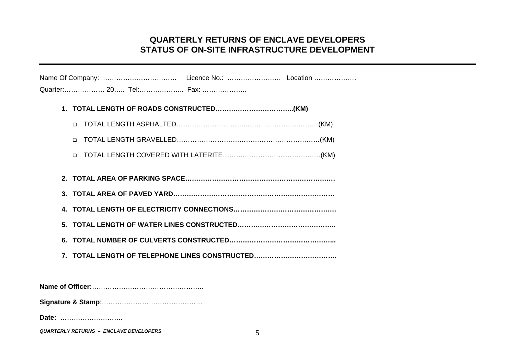## **QUARTERLY RETURNS OF ENCLAVE DEVELOPERS STATUS OF ON-SITE INFRASTRUCTURE DEVELOPMENT**

| Quarter: 20 Tel: Fax:                          |
|------------------------------------------------|
|                                                |
| $\Box$                                         |
| $\Box$                                         |
|                                                |
|                                                |
|                                                |
|                                                |
|                                                |
|                                                |
| 7. TOTAL LENGTH OF TELEPHONE LINES CONSTRUCTED |
|                                                |

**Signature & Stamp**:………………………………………

**Date:** ……………………….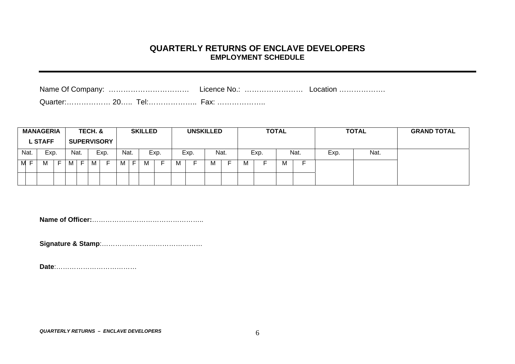#### **QUARTERLY RETURNS OF ENCLAVE DEVELOPERS EMPLOYMENT SCHEDULE**

|        | <b>MANAGERIA</b><br><b>L STAFF</b> |    |      | TECH. & | <b>SUPERVISORY</b> |      |    | <b>SKILLED</b> |                          |   | <b>UNSKILLED</b> |      | <b>TOTAL</b> |      |     |      |      | <b>TOTAL</b> | <b>GRAND TOTAL</b> |
|--------|------------------------------------|----|------|---------|--------------------|------|----|----------------|--------------------------|---|------------------|------|--------------|------|-----|------|------|--------------|--------------------|
| Nat.   | Exp.                               |    | Nat. |         | Exp.               | Nat. |    |                | Exp.                     |   | Exp.             | Nat. |              | Exp. |     | Nat. | Exp. | Nat.         |                    |
| M<br>— |                                    | Е. |      | М       |                    | M    | F. | M              | $\overline{\phantom{0}}$ | М |                  | м    | M            |      | ΙVΙ |      |      |              |                    |
|        |                                    |    |      |         |                    |      |    |                |                          |   |                  |      |              |      |     |      |      |              |                    |

**Name of Officer:**…………………………………………..

**Signature & Stamp**:………………………………………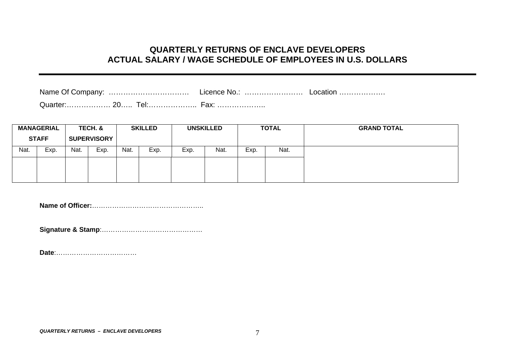#### **QUARTERLY RETURNS OF ENCLAVE DEVELOPERS ACTUAL SALARY / WAGE SCHEDULE OF EMPLOYEES IN U.S. DOLLARS**

Name Of Company: …………………………………………… Licence No.: ………………………………………………………………………………………

Quarter:……………… 20….. Tel:……………….. Fax: ………………..

| <b>MANAGERIAL</b> |                                    | TECH. & |      |      |      | <b>SKILLED</b> |      |      | <b>UNSKILLED</b> |  | <b>TOTAL</b> | <b>GRAND TOTAL</b> |
|-------------------|------------------------------------|---------|------|------|------|----------------|------|------|------------------|--|--------------|--------------------|
|                   | <b>STAFF</b><br><b>SUPERVISORY</b> |         |      |      |      |                |      |      |                  |  |              |                    |
| Nat.              | Exp.                               | Nat.    | Exp. | Nat. | Exp. | Exp.           | Nat. | Exp. | Nat.             |  |              |                    |
|                   |                                    |         |      |      |      |                |      |      |                  |  |              |                    |
|                   |                                    |         |      |      |      |                |      |      |                  |  |              |                    |

**Name of Officer:**…………………………………………..

**Signature & Stamp**:………………………………………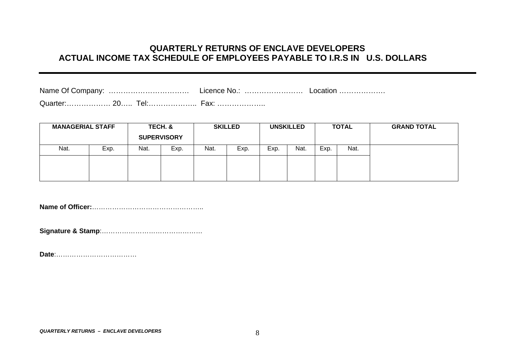## **QUARTERLY RETURNS OF ENCLAVE DEVELOPERS ACTUAL INCOME TAX SCHEDULE OF EMPLOYEES PAYABLE TO I.R.S IN U.S. DOLLARS**

Quarter:……………… 20….. Tel:……………….. Fax: ………………..

| Exp.<br>Nat.<br>Exp.<br>Exp.<br>Nat.<br>Exp.<br>Nat.<br>Nat.<br>Exp. | <b>MANAGERIAL STAFF</b> |  | TECH. &<br><b>SUPERVISORY</b> |  | <b>SKILLED</b> |  | <b>UNSKILLED</b> | <b>TOTAL</b> | <b>GRAND TOTAL</b> |
|----------------------------------------------------------------------|-------------------------|--|-------------------------------|--|----------------|--|------------------|--------------|--------------------|
|                                                                      |                         |  |                               |  |                |  |                  | Nat.         |                    |
|                                                                      |                         |  |                               |  |                |  |                  |              |                    |

**Name of Officer:**…………………………………………..

**Signature & Stamp**:………………………………………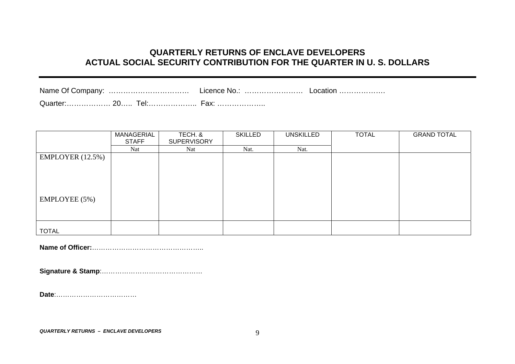# **QUARTERLY RETURNS OF ENCLAVE DEVELOPERS ACTUAL SOCIAL SECURITY CONTRIBUTION FOR THE QUARTER IN U. S. DOLLARS**

| Quarter: 20 | Tel:………………… <i>「</i> | <b>Fax:</b> |  |
|-------------|----------------------|-------------|--|

|                  | MANAGERIAL   | TECH. &            | <b>SKILLED</b> | <b>UNSKILLED</b> | <b>TOTAL</b> | <b>GRAND TOTAL</b> |  |
|------------------|--------------|--------------------|----------------|------------------|--------------|--------------------|--|
|                  | <b>STAFF</b> | <b>SUPERVISORY</b> |                |                  |              |                    |  |
|                  | Nat          | <b>Nat</b>         | Nat.           | Nat.             |              |                    |  |
| EMPLOYER (12.5%) |              |                    |                |                  |              |                    |  |
|                  |              |                    |                |                  |              |                    |  |
|                  |              |                    |                |                  |              |                    |  |
|                  |              |                    |                |                  |              |                    |  |
|                  |              |                    |                |                  |              |                    |  |
| EMPLOYEE (5%)    |              |                    |                |                  |              |                    |  |
|                  |              |                    |                |                  |              |                    |  |
|                  |              |                    |                |                  |              |                    |  |
|                  |              |                    |                |                  |              |                    |  |
| <b>TOTAL</b>     |              |                    |                |                  |              |                    |  |

**Name of Officer:**…………………………………………..

**Signature & Stamp**:………………………………………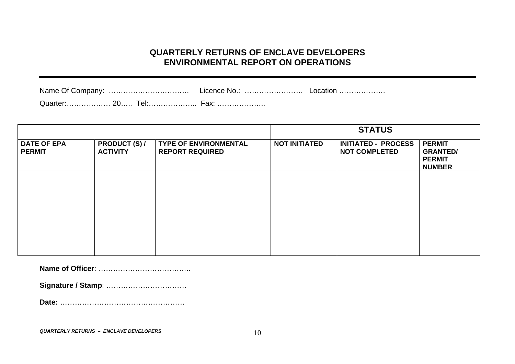## **QUARTERLY RETURNS OF ENCLAVE DEVELOPERS ENVIRONMENTAL REPORT ON OPERATIONS**

Name Of Company: …………………………………………… Licence No.: ……………………………………………………………………………………… Quarter:……………… 20….. Tel:……………….. Fax: ………………..

|                                     |                                         |                                                        |                      | <b>STATUS</b>                                      |                                                                    |
|-------------------------------------|-----------------------------------------|--------------------------------------------------------|----------------------|----------------------------------------------------|--------------------------------------------------------------------|
| <b>DATE OF EPA</b><br><b>PERMIT</b> | <b>PRODUCT (S) /</b><br><b>ACTIVITY</b> | <b>TYPE OF ENVIRONMENTAL</b><br><b>REPORT REQUIRED</b> | <b>NOT INITIATED</b> | <b>INITIATED - PROCESS</b><br><b>NOT COMPLETED</b> | <b>PERMIT</b><br><b>GRANTED/</b><br><b>PERMIT</b><br><b>NUMBER</b> |
|                                     |                                         |                                                        |                      |                                                    |                                                                    |
|                                     |                                         |                                                        |                      |                                                    |                                                                    |
|                                     |                                         |                                                        |                      |                                                    |                                                                    |
|                                     |                                         |                                                        |                      |                                                    |                                                                    |
|                                     |                                         |                                                        |                      |                                                    |                                                                    |

**Name of Officer**: ………………………………..

**Signature / Stamp**: ……………………………

**Date:** ……………………………………………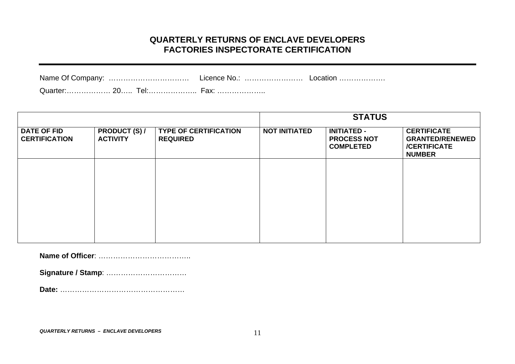## **QUARTERLY RETURNS OF ENCLAVE DEVELOPERS FACTORIES INSPECTORATE CERTIFICATION**

|                              |   | Licence No.: |  |
|------------------------------|---|--------------|--|
| $\bigcap_{x \in \mathbb{R}}$ | ົ | -----        |  |

Quarter:……………… 20….. Tel:……………….. Fax: ………………..

|                                            |                                         |                                                 | <b>STATUS</b>        |                                                              |                                                                                      |  |  |  |
|--------------------------------------------|-----------------------------------------|-------------------------------------------------|----------------------|--------------------------------------------------------------|--------------------------------------------------------------------------------------|--|--|--|
| <b>DATE OF FID</b><br><b>CERTIFICATION</b> | <b>PRODUCT (S) /</b><br><b>ACTIVITY</b> | <b>TYPE OF CERTIFICATION</b><br><b>REQUIRED</b> | <b>NOT INITIATED</b> | <b>INITIATED -</b><br><b>PROCESS NOT</b><br><b>COMPLETED</b> | <b>CERTIFICATE</b><br><b>GRANTED/RENEWED</b><br><b>/CERTIFICATE</b><br><b>NUMBER</b> |  |  |  |
|                                            |                                         |                                                 |                      |                                                              |                                                                                      |  |  |  |
|                                            |                                         |                                                 |                      |                                                              |                                                                                      |  |  |  |
|                                            |                                         |                                                 |                      |                                                              |                                                                                      |  |  |  |
|                                            |                                         |                                                 |                      |                                                              |                                                                                      |  |  |  |

**Name of Officer**: ………………………………..

**Signature / Stamp**: ……………………………

**Date:** ……………………………………………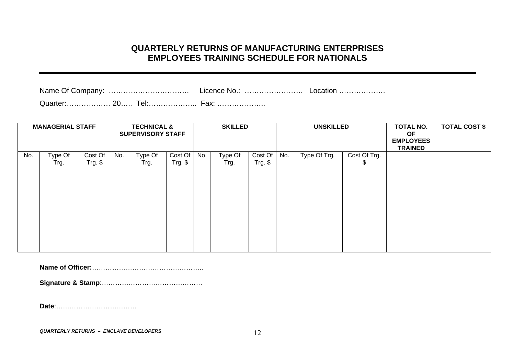### **QUARTERLY RETURNS OF MANUFACTURING ENTERPRISES EMPLOYEES TRAINING SCHEDULE FOR NATIONALS**

| Name Of Company: | - Licence No | ∟ocation ………………… |
|------------------|--------------|------------------|
|                  |              |                  |

|     | <b>MANAGERIAL STAFF</b> |                     |     | <b>TECHNICAL &amp;</b><br><b>SUPERVISORY STAFF</b> |                      |     | <b>SKILLED</b>  |                      |     | <b>UNSKILLED</b> |                   | <b>TOTAL NO.</b><br>OF<br><b>EMPLOYEES</b><br><b>TRAINED</b> | <b>TOTAL COST \$</b> |
|-----|-------------------------|---------------------|-----|----------------------------------------------------|----------------------|-----|-----------------|----------------------|-----|------------------|-------------------|--------------------------------------------------------------|----------------------|
| No. | Type Of<br>Trg.         | Cost Of<br>Trg. $$$ | No. | Type Of<br>Trg.                                    | Cost Of<br>$Trg.$ \$ | No. | Type Of<br>Trg. | Cost Of<br>$Trg.$ \$ | No. | Type Of Trg.     | Cost Of Trg.<br>Φ |                                                              |                      |
|     |                         |                     |     |                                                    |                      |     |                 |                      |     |                  |                   |                                                              |                      |
|     |                         |                     |     |                                                    |                      |     |                 |                      |     |                  |                   |                                                              |                      |
|     |                         |                     |     |                                                    |                      |     |                 |                      |     |                  |                   |                                                              |                      |
|     |                         |                     |     |                                                    |                      |     |                 |                      |     |                  |                   |                                                              |                      |
|     |                         |                     |     |                                                    |                      |     |                 |                      |     |                  |                   |                                                              |                      |
|     |                         |                     |     |                                                    |                      |     |                 |                      |     |                  |                   |                                                              |                      |
|     |                         |                     |     |                                                    |                      |     |                 |                      |     |                  |                   |                                                              |                      |

**Name of Officer:**…………………………………………..

**Signature & Stamp**:………………………………………

**Date**:………………………………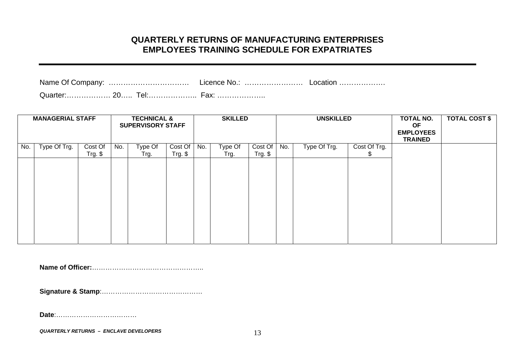## **QUARTERLY RETURNS OF MANUFACTURING ENTERPRISES EMPLOYEES TRAINING SCHEDULE FOR EXPATRIATES**

| $\sim$ $\sim$ |  |  |
|---------------|--|--|

Quarter:……………… 20….. Tel:……………….. Fax: ………………..

|     | <b>MANAGERIAL STAFF</b> |           |     | <b>TECHNICAL &amp;</b><br><b>SUPERVISORY STAFF</b> |            |     | <b>SKILLED</b> |          |     | <b>UNSKILLED</b> |              | TOTAL NO.<br><b>OF</b><br><b>EMPLOYEES</b><br><b>TRAINED</b> | <b>TOTAL COST \$</b> |
|-----|-------------------------|-----------|-----|----------------------------------------------------|------------|-----|----------------|----------|-----|------------------|--------------|--------------------------------------------------------------|----------------------|
| No. | Type Of Trg.            | Cost Of   | No. | Type Of                                            | Cost Of    | No. | Type Of        | Cost Of  | No. | Type Of Trg.     | Cost Of Trg. |                                                              |                      |
|     |                         | $Trg.$ \$ |     | Trg.                                               | $Trg.$ $$$ |     | Trg.           | Trg. $$$ |     |                  | Φ            |                                                              |                      |
|     |                         |           |     |                                                    |            |     |                |          |     |                  |              |                                                              |                      |
|     |                         |           |     |                                                    |            |     |                |          |     |                  |              |                                                              |                      |
|     |                         |           |     |                                                    |            |     |                |          |     |                  |              |                                                              |                      |
|     |                         |           |     |                                                    |            |     |                |          |     |                  |              |                                                              |                      |
|     |                         |           |     |                                                    |            |     |                |          |     |                  |              |                                                              |                      |
|     |                         |           |     |                                                    |            |     |                |          |     |                  |              |                                                              |                      |
|     |                         |           |     |                                                    |            |     |                |          |     |                  |              |                                                              |                      |
|     |                         |           |     |                                                    |            |     |                |          |     |                  |              |                                                              |                      |

**Name of Officer:**…………………………………………..

**Signature & Stamp**:………………………………………

**Date**:………………………………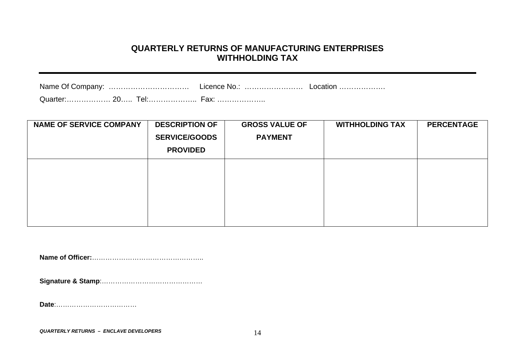### **QUARTERLY RETURNS OF MANUFACTURING ENTERPRISES WITHHOLDING TAX**

| <b>NAME OF SERVICE COMPANY</b> | <b>DESCRIPTION OF</b> | <b>GROSS VALUE OF</b> | <b>WITHHOLDING TAX</b> | <b>PERCENTAGE</b> |
|--------------------------------|-----------------------|-----------------------|------------------------|-------------------|
|                                | <b>SERVICE/GOODS</b>  | <b>PAYMENT</b>        |                        |                   |
|                                | <b>PROVIDED</b>       |                       |                        |                   |
|                                |                       |                       |                        |                   |
|                                |                       |                       |                        |                   |
|                                |                       |                       |                        |                   |
|                                |                       |                       |                        |                   |
|                                |                       |                       |                        |                   |

**Name of Officer:**…………………………………………..

**Signature & Stamp**:………………………………………

**Date**:………………………………